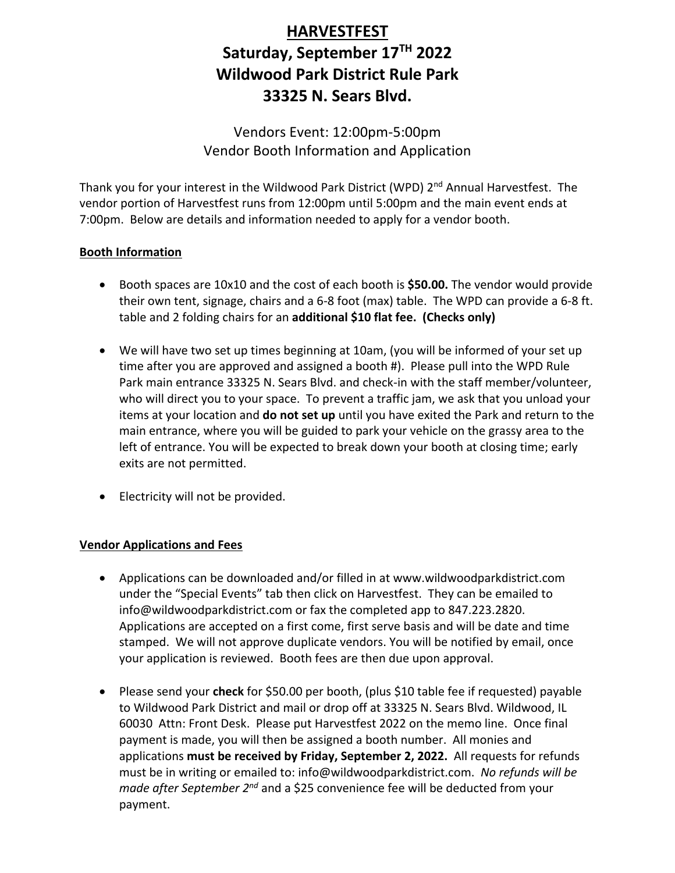# **HARVESTFEST Saturday, September 17TH 2022 Wildwood Park District Rule Park 33325 N. Sears Blvd.**

Vendors Event: 12:00pm-5:00pm Vendor Booth Information and Application

Thank you for your interest in the Wildwood Park District (WPD) 2<sup>nd</sup> Annual Harvestfest. The vendor portion of Harvestfest runs from 12:00pm until 5:00pm and the main event ends at 7:00pm. Below are details and information needed to apply for a vendor booth.

#### **Booth Information**

- Booth spaces are 10x10 and the cost of each booth is **\$50.00.** The vendor would provide their own tent, signage, chairs and a 6-8 foot (max) table. The WPD can provide a 6-8 ft. table and 2 folding chairs for an **additional \$10 flat fee. (Checks only)**
- We will have two set up times beginning at 10am, (you will be informed of your set up time after you are approved and assigned a booth #). Please pull into the WPD Rule Park main entrance 33325 N. Sears Blvd. and check-in with the staff member/volunteer, who will direct you to your space. To prevent a traffic jam, we ask that you unload your items at your location and **do not set up** until you have exited the Park and return to the main entrance, where you will be guided to park your vehicle on the grassy area to the left of entrance. You will be expected to break down your booth at closing time; early exits are not permitted.
- Electricity will not be provided.

#### **Vendor Applications and Fees**

- Applications can be downloaded and/or filled in at www.wildwoodparkdistrict.com under the "Special Events" tab then click on Harvestfest. They can be emailed to info@wildwoodparkdistrict.com or fax the completed app to 847.223.2820. Applications are accepted on a first come, first serve basis and will be date and time stamped. We will not approve duplicate vendors. You will be notified by email, once your application is reviewed. Booth fees are then due upon approval.
- Please send your **check** for \$50.00 per booth, (plus \$10 table fee if requested) payable to Wildwood Park District and mail or drop off at 33325 N. Sears Blvd. Wildwood, IL 60030 Attn: Front Desk. Please put Harvestfest 2022 on the memo line. Once final payment is made, you will then be assigned a booth number. All monies and applications **must be received by Friday, September 2, 2022.** All requests for refunds must be in writing or emailed to: info@wildwoodparkdistrict.com. *No refunds will be made after September 2nd* and a \$25 convenience fee will be deducted from your payment.